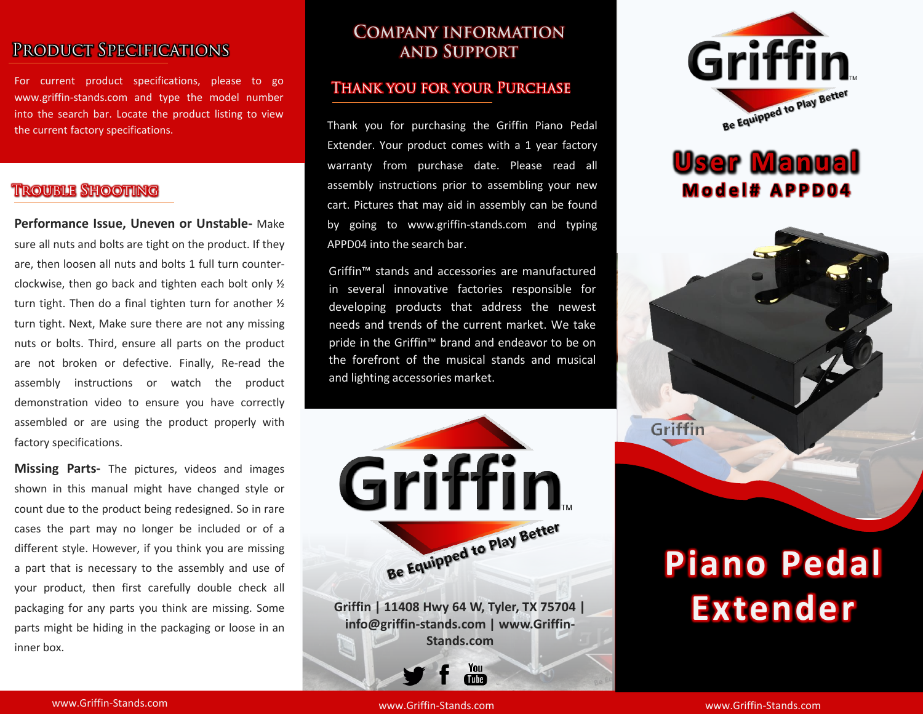# PRODUCT SPECIFICATIONS

For current product specifications, please to go www.griffin-stands.com and type the model number into the search bar. Locate the product listing to view the current factory specifications.

### **TROUBLE SHOOTING**

**Performance Issue, Uneven or Unstable-** Make sure all nuts and bolts are tight on the product. If they are, then loosen all nuts and bolts 1 full turn counterclockwise, then go back and tighten each bolt only ½ turn tight. Then do a final tighten turn for another ½ turn tight. Next, Make sure there are not any missing nuts or bolts. Third, ensure all parts on the product are not broken or defective. Finally, Re-read the assembly instructions or watch the product demonstration video to ensure you have correctly assembled or are using the product properly with factory specifications.

**Missing Parts-** The pictures, videos and images shown in this manual might have changed style or count due to the product being redesigned. So in rare cases the part may no longer be included or of a different style. However, if you think you are missing a part that is necessary to the assembly and use of your product, then first carefully double check all packaging for any parts you think are missing. Some parts might be hiding in the packaging or loose in an inner box.

## **COMPANY INFORMATION AND SUPPORT**

### **THANK YOU FOR YOUR PURCHASE**

Thank you for purchasing the Griffin Piano Pedal Extender. Your product comes with a 1 year factory warranty from purchase date. Please read all assembly instructions prior to assembling your new cart. Pictures that may aid in assembly can be found by going to www.griffin-stands.com and typing APPD04 into the search bar.

Griffin™ stands and accessories are manufactured in several innovative factories responsible for developing products that address the newest needs and trends of the current market. We take pride in the Griffin™ brand and endeavor to be on the forefront of the musical stands and musical and lighting accessories market.



**Griffin | 11408 Hwy 64 W, Tyler, TX 75704 | info@griffin-stands.com | www.Griffin-Stands.com**

> You Tube<sup>7</sup>



# **User Manual M o d e l # A P P D 0 4**



# **Piano Pedal Extender**

www.Griffin-Stands.com and the stands of the stands.com stands.com stands.com stands.com